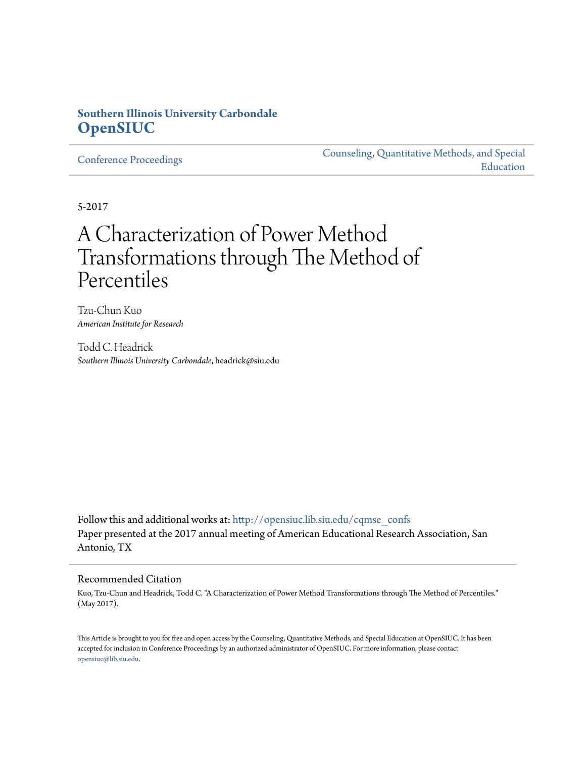## **Southern Illinois University Carbondale [OpenSIUC](http://opensiuc.lib.siu.edu?utm_source=opensiuc.lib.siu.edu%2Fcqmse_confs%2F2&utm_medium=PDF&utm_campaign=PDFCoverPages)**

[Conference Proceedings](http://opensiuc.lib.siu.edu/cqmse_confs?utm_source=opensiuc.lib.siu.edu%2Fcqmse_confs%2F2&utm_medium=PDF&utm_campaign=PDFCoverPages)

[Counseling, Quantitative Methods, and Special](http://opensiuc.lib.siu.edu/cqmse?utm_source=opensiuc.lib.siu.edu%2Fcqmse_confs%2F2&utm_medium=PDF&utm_campaign=PDFCoverPages) [Education](http://opensiuc.lib.siu.edu/cqmse?utm_source=opensiuc.lib.siu.edu%2Fcqmse_confs%2F2&utm_medium=PDF&utm_campaign=PDFCoverPages)

5-2017

# A Characterization of Power Method Transformations through The Method of Percentiles

Tzu-Chun Kuo *American Institute for Research*

Todd C. Headrick *Southern Illinois University Carbondale*, headrick@siu.edu

Follow this and additional works at: [http://opensiuc.lib.siu.edu/cqmse\\_confs](http://opensiuc.lib.siu.edu/cqmse_confs?utm_source=opensiuc.lib.siu.edu%2Fcqmse_confs%2F2&utm_medium=PDF&utm_campaign=PDFCoverPages) Paper presented at the 2017 annual meeting of American Educational Research Association, San Antonio, TX

#### Recommended Citation

Kuo, Tzu-Chun and Headrick, Todd C. "A Characterization of Power Method Transformations through The Method of Percentiles." (May 2017).

This Article is brought to you for free and open access by the Counseling, Quantitative Methods, and Special Education at OpenSIUC. It has been accepted for inclusion in Conference Proceedings by an authorized administrator of OpenSIUC. For more information, please contact [opensiuc@lib.siu.edu.](mailto:opensiuc@lib.siu.edu)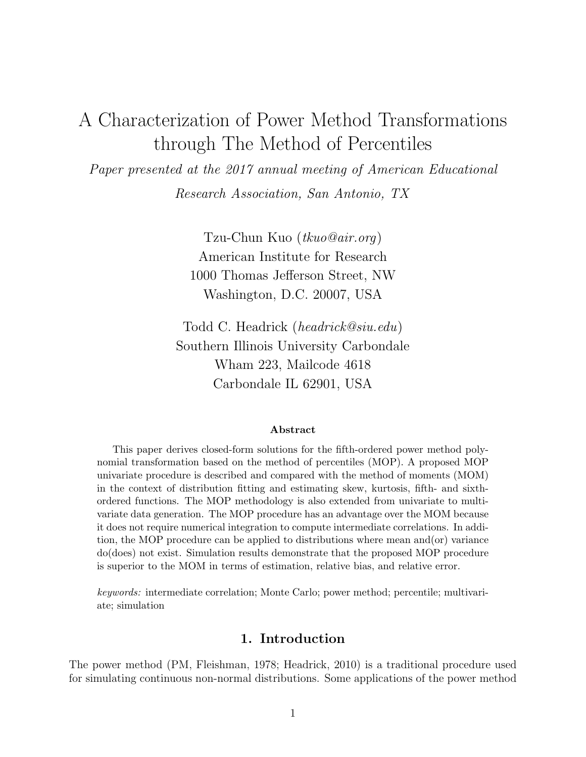# A Characterization of Power Method Transformations through The Method of Percentiles

Paper presented at the 2017 annual meeting of American Educational Research Association, San Antonio, TX

> Tzu-Chun Kuo (tkuo@air.org) American Institute for Research 1000 Thomas Jefferson Street, NW Washington, D.C. 20007, USA

Todd C. Headrick (headrick@siu.edu) Southern Illinois University Carbondale Wham 223, Mailcode 4618 Carbondale IL 62901, USA

#### Abstract

This paper derives closed-form solutions for the fifth-ordered power method polynomial transformation based on the method of percentiles (MOP). A proposed MOP univariate procedure is described and compared with the method of moments (MOM) in the context of distribution fitting and estimating skew, kurtosis, fifth- and sixthordered functions. The MOP methodology is also extended from univariate to multivariate data generation. The MOP procedure has an advantage over the MOM because it does not require numerical integration to compute intermediate correlations. In addition, the MOP procedure can be applied to distributions where mean and(or) variance do(does) not exist. Simulation results demonstrate that the proposed MOP procedure is superior to the MOM in terms of estimation, relative bias, and relative error.

keywords: intermediate correlation; Monte Carlo; power method; percentile; multivariate; simulation

#### 1. Introduction

The power method (PM, Fleishman, 1978; Headrick, 2010) is a traditional procedure used for simulating continuous non-normal distributions. Some applications of the power method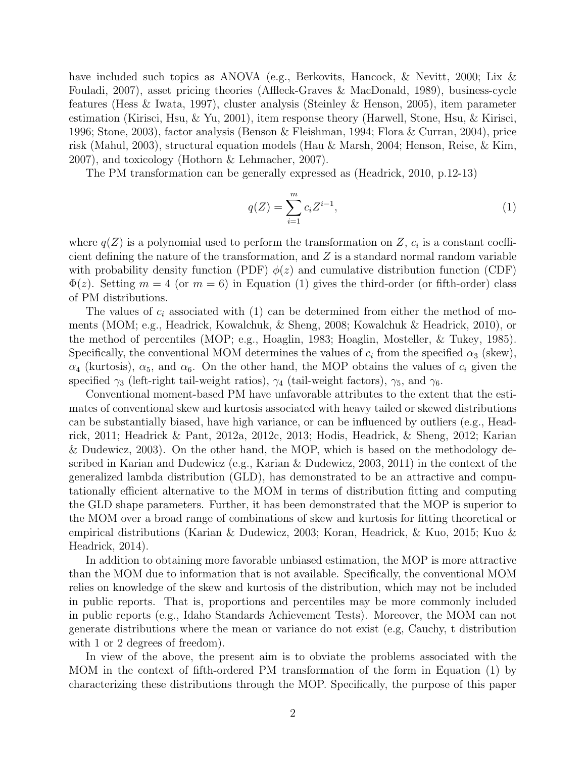have included such topics as ANOVA (e.g., Berkovits, Hancock, & Nevitt, 2000; Lix & Fouladi, 2007), asset pricing theories (Affleck-Graves & MacDonald, 1989), business-cycle features (Hess & Iwata, 1997), cluster analysis (Steinley & Henson, 2005), item parameter estimation (Kirisci, Hsu, & Yu, 2001), item response theory (Harwell, Stone, Hsu, & Kirisci, 1996; Stone, 2003), factor analysis (Benson & Fleishman, 1994; Flora & Curran, 2004), price risk (Mahul, 2003), structural equation models (Hau & Marsh, 2004; Henson, Reise, & Kim, 2007), and toxicology (Hothorn & Lehmacher, 2007).

The PM transformation can be generally expressed as (Headrick, 2010, p.12-13)

$$
q(Z) = \sum_{i=1}^{m} c_i Z^{i-1},
$$
\n(1)

where  $q(Z)$  is a polynomial used to perform the transformation on Z,  $c_i$  is a constant coefficient defining the nature of the transformation, and  $Z$  is a standard normal random variable with probability density function (PDF)  $\phi(z)$  and cumulative distribution function (CDF)  $\Phi(z)$ . Setting  $m = 4$  (or  $m = 6$ ) in Equation (1) gives the third-order (or fifth-order) class of PM distributions.

The values of  $c_i$  associated with (1) can be determined from either the method of moments (MOM; e.g., Headrick, Kowalchuk, & Sheng, 2008; Kowalchuk & Headrick, 2010), or the method of percentiles (MOP; e.g., Hoaglin, 1983; Hoaglin, Mosteller, & Tukey, 1985). Specifically, the conventional MOM determines the values of  $c_i$  from the specified  $\alpha_3$  (skew),  $\alpha_4$  (kurtosis),  $\alpha_5$ , and  $\alpha_6$ . On the other hand, the MOP obtains the values of  $c_i$  given the specified  $\gamma_3$  (left-right tail-weight ratios),  $\gamma_4$  (tail-weight factors),  $\gamma_5$ , and  $\gamma_6$ .

Conventional moment-based PM have unfavorable attributes to the extent that the estimates of conventional skew and kurtosis associated with heavy tailed or skewed distributions can be substantially biased, have high variance, or can be influenced by outliers (e.g., Headrick, 2011; Headrick & Pant, 2012a, 2012c, 2013; Hodis, Headrick, & Sheng, 2012; Karian & Dudewicz, 2003). On the other hand, the MOP, which is based on the methodology described in Karian and Dudewicz (e.g., Karian & Dudewicz, 2003, 2011) in the context of the generalized lambda distribution (GLD), has demonstrated to be an attractive and computationally efficient alternative to the MOM in terms of distribution fitting and computing the GLD shape parameters. Further, it has been demonstrated that the MOP is superior to the MOM over a broad range of combinations of skew and kurtosis for fitting theoretical or empirical distributions (Karian & Dudewicz, 2003; Koran, Headrick, & Kuo, 2015; Kuo & Headrick, 2014).

In addition to obtaining more favorable unbiased estimation, the MOP is more attractive than the MOM due to information that is not available. Specifically, the conventional MOM relies on knowledge of the skew and kurtosis of the distribution, which may not be included in public reports. That is, proportions and percentiles may be more commonly included in public reports (e.g., Idaho Standards Achievement Tests). Moreover, the MOM can not generate distributions where the mean or variance do not exist (e.g, Cauchy, t distribution with 1 or 2 degrees of freedom).

In view of the above, the present aim is to obviate the problems associated with the MOM in the context of fifth-ordered PM transformation of the form in Equation (1) by characterizing these distributions through the MOP. Specifically, the purpose of this paper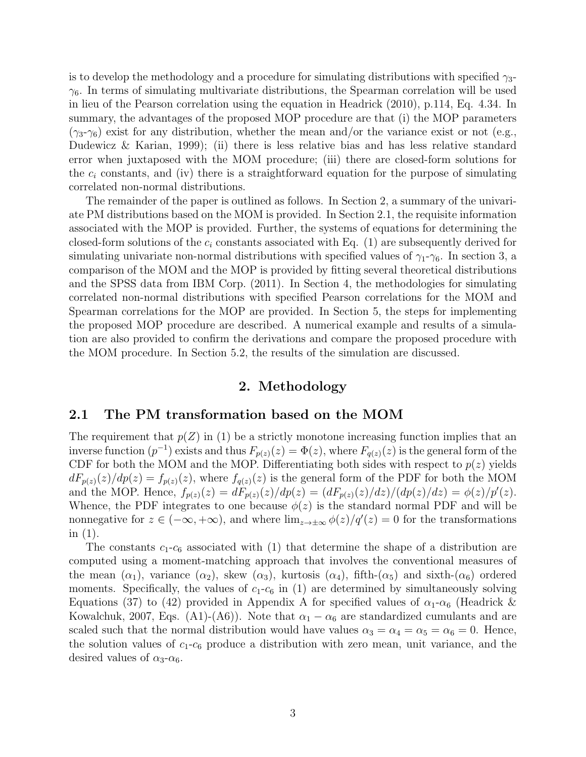is to develop the methodology and a procedure for simulating distributions with specified  $\gamma_3$ - $\gamma_6$ . In terms of simulating multivariate distributions, the Spearman correlation will be used in lieu of the Pearson correlation using the equation in Headrick (2010), p.114, Eq. 4.34. In summary, the advantages of the proposed MOP procedure are that (i) the MOP parameters  $(\gamma_3-\gamma_6)$  exist for any distribution, whether the mean and/or the variance exist or not (e.g., Dudewicz & Karian, 1999); (ii) there is less relative bias and has less relative standard error when juxtaposed with the MOM procedure; (iii) there are closed-form solutions for the  $c_i$  constants, and (iv) there is a straightforward equation for the purpose of simulating correlated non-normal distributions.

The remainder of the paper is outlined as follows. In Section 2, a summary of the univariate PM distributions based on the MOM is provided. In Section 2.1, the requisite information associated with the MOP is provided. Further, the systems of equations for determining the closed-form solutions of the  $c_i$  constants associated with Eq. (1) are subsequently derived for simulating univariate non-normal distributions with specified values of  $\gamma_1$ - $\gamma_6$ . In section 3, a comparison of the MOM and the MOP is provided by fitting several theoretical distributions and the SPSS data from IBM Corp. (2011). In Section 4, the methodologies for simulating correlated non-normal distributions with specified Pearson correlations for the MOM and Spearman correlations for the MOP are provided. In Section 5, the steps for implementing the proposed MOP procedure are described. A numerical example and results of a simulation are also provided to confirm the derivations and compare the proposed procedure with the MOM procedure. In Section 5.2, the results of the simulation are discussed.

#### 2. Methodology

#### 2.1 The PM transformation based on the MOM

The requirement that  $p(Z)$  in (1) be a strictly monotone increasing function implies that an inverse function  $(p^{-1})$  exists and thus  $F_{p(z)}(z) = \Phi(z)$ , where  $F_{q(z)}(z)$  is the general form of the CDF for both the MOM and the MOP. Differentiating both sides with respect to  $p(z)$  yields  $dF_{p(z)}(z)/dp(z) = f_{p(z)}(z)$ , where  $f_{q(z)}(z)$  is the general form of the PDF for both the MOM and the MOP. Hence,  $f_{p(z)}(z) = dF_{p(z)}(z)/dp(z) = (dF_{p(z)}(z)/dz)/(dp(z)/dz) = \phi(z)/p'(z)$ . Whence, the PDF integrates to one because  $\phi(z)$  is the standard normal PDF and will be nonnegative for  $z \in (-\infty, +\infty)$ , and where  $\lim_{z\to\pm\infty} \phi(z)/q'(z) = 0$  for the transformations in (1).

The constants  $c_1-c_6$  associated with (1) that determine the shape of a distribution are computed using a moment-matching approach that involves the conventional measures of the mean  $(\alpha_1)$ , variance  $(\alpha_2)$ , skew  $(\alpha_3)$ , kurtosis  $(\alpha_4)$ , fifth- $(\alpha_5)$  and sixth- $(\alpha_6)$  ordered moments. Specifically, the values of  $c_1-c_6$  in (1) are determined by simultaneously solving Equations (37) to (42) provided in Appendix A for specified values of  $\alpha_1-\alpha_6$  (Headrick & Kowalchuk, 2007, Eqs. (A1)-(A6)). Note that  $\alpha_1 - \alpha_6$  are standardized cumulants and are scaled such that the normal distribution would have values  $\alpha_3 = \alpha_4 = \alpha_5 = \alpha_6 = 0$ . Hence, the solution values of  $c_1-c_6$  produce a distribution with zero mean, unit variance, and the desired values of  $\alpha_3$ - $\alpha_6$ .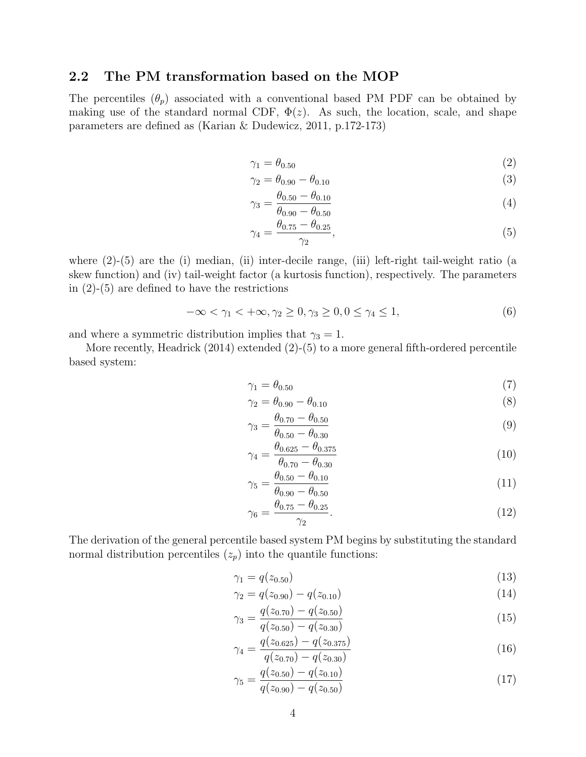#### 2.2 The PM transformation based on the MOP

The percentiles  $(\theta_p)$  associated with a conventional based PM PDF can be obtained by making use of the standard normal CDF,  $\Phi(z)$ . As such, the location, scale, and shape parameters are defined as (Karian & Dudewicz, 2011, p.172-173)

$$
\gamma_1 = \theta_{0.50} \tag{2}
$$

$$
\gamma_2 = \theta_{0.90} - \theta_{0.10} \tag{3}
$$

$$
\gamma_3 = \frac{\theta_{0.50} - \theta_{0.10}}{\theta_{0.90} - \theta_{0.50}}
$$
\n(4)

$$
\gamma_4 = \frac{\theta_{0.75} - \theta_{0.25}}{\gamma_2},\tag{5}
$$

where  $(2)-(5)$  are the (i) median, (ii) inter-decile range, (iii) left-right tail-weight ratio (a skew function) and (iv) tail-weight factor (a kurtosis function), respectively. The parameters in  $(2)-(5)$  are defined to have the restrictions

$$
-\infty < \gamma_1 < +\infty, \gamma_2 \ge 0, \gamma_3 \ge 0, 0 \le \gamma_4 \le 1,\tag{6}
$$

and where a symmetric distribution implies that  $\gamma_3 = 1$ .

More recently, Headrick (2014) extended (2)-(5) to a more general fifth-ordered percentile based system:

$$
\gamma_1 = \theta_{0.50} \tag{7}
$$

$$
\gamma_2 = \theta_{0.90} - \theta_{0.10} \tag{8}
$$

$$
\gamma_3 = \frac{\theta_{0.70} - \theta_{0.50}}{\theta_{0.50} - \theta_{0.30}}
$$
\n(9)

$$
\gamma_4 = \frac{\theta_{0.625} - \theta_{0.375}}{\theta_{0.70} - \theta_{0.30}}
$$
\n(10)

$$
\gamma_5 = \frac{\theta_{0.50} - \theta_{0.10}}{\theta_{0.90} - \theta_{0.50}}
$$
\n(11)

$$
\gamma_6 = \frac{\theta_{0.75} - \theta_{0.25}}{\gamma_2}.\tag{12}
$$

The derivation of the general percentile based system PM begins by substituting the standard normal distribution percentiles  $(z_p)$  into the quantile functions:

$$
\gamma_1 = q(z_{0.50})\tag{13}
$$

$$
\gamma_2 = q(z_{0.90}) - q(z_{0.10}) \tag{14}
$$

$$
\gamma_3 = \frac{q(z_{0.70}) - q(z_{0.50})}{q(z_{0.50}) - q(z_{0.30})} \tag{15}
$$

$$
\gamma_4 = \frac{q(z_{0.625}) - q(z_{0.375})}{q(z_{0.70}) - q(z_{0.30})} \tag{16}
$$

$$
\gamma_5 = \frac{q(z_{0.50}) - q(z_{0.10})}{q(z_{0.90}) - q(z_{0.50})}
$$
\n(17)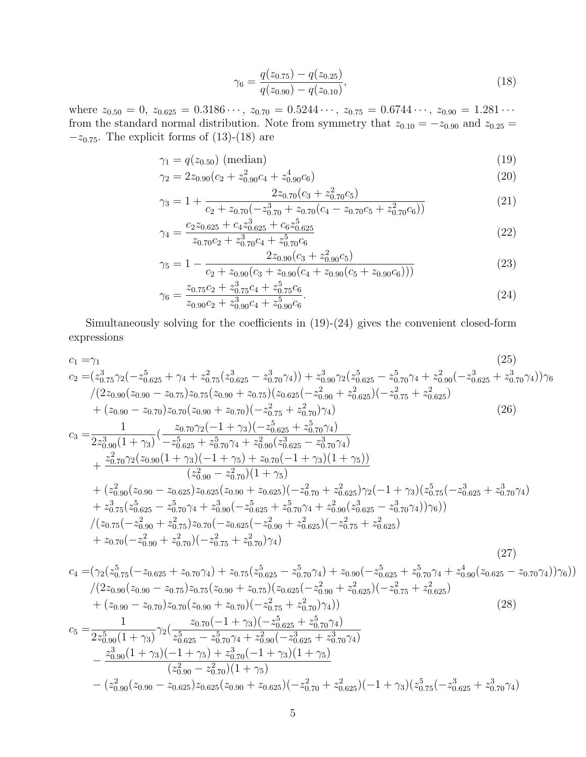$$
\gamma_6 = \frac{q(z_{0.75}) - q(z_{0.25})}{q(z_{0.90}) - q(z_{0.10})},\tag{18}
$$

where  $z_{0.50} = 0$ ,  $z_{0.625} = 0.3186 \cdots$ ,  $z_{0.70} = 0.5244 \cdots$ ,  $z_{0.75} = 0.6744 \cdots$ ,  $z_{0.90} = 1.281 \cdots$ from the standard normal distribution. Note from symmetry that  $z_{0.10} = -z_{0.90}$  and  $z_{0.25} =$  $-z_{0.75}$ . The explicit forms of (13)-(18) are

$$
\gamma_1 = q(z_{0.50}) \text{ (median)} \tag{19}
$$

$$
\gamma_2 = 2z_{0.90}(c_2 + z_{0.90}^2 c_4 + z_{0.90}^4 c_6) \tag{20}
$$

$$
\gamma_3 = 1 + \frac{2z_{0.70}(c_3 + z_{0.70}^2 c_5)}{c_2 + z_{0.70}(-z_{0.70}^3 + z_{0.70}(c_4 - z_{0.70}c_5 + z_{0.70}^2 c_6))}
$$
(21)

$$
\gamma_4 = \frac{c_2 z_{0.625} + c_4 z_{0.625}^3 + c_6 z_{0.625}^5}{z_{0.70} c_2 + z_{0.70}^3 c_4 + z_{0.70}^5 c_6} \tag{22}
$$

$$
\gamma_5 = 1 - \frac{2z_{0.90}(c_3 + z_{0.90}^2 c_5)}{c_2 + z_{0.90}(c_3 + z_{0.90}(c_4 + z_{0.90}(c_5 + z_{0.90}c_6)))}
$$
(23)

$$
\gamma_6 = \frac{z_{0.75}c_2 + z_{0.75}^5c_4 + z_{0.75}^5c_6}{z_{0.90}c_2 + z_{0.90}^3c_4 + z_{0.90}^5c_6}.
$$
\n(24)

Simultaneously solving for the coefficients in (19)-(24) gives the convenient closed-form expressions

$$
c_{1} = \gamma_{1}
$$
\n
$$
c_{2} = (z_{0.75}^{3}\gamma_{2}(-z_{0.625}^{5} + \gamma_{4} + z_{0.75}^{2}(z_{0.625}^{3} - z_{0.70}^{3}\gamma_{4})) + z_{0.90}^{3}\gamma_{2}(z_{0.625}^{5} - z_{0.70}^{5}\gamma_{4} + z_{0.90}^{2}(-z_{0.625}^{3} + z_{0.70}^{3}\gamma_{4}))\gamma_{6}
$$
\n
$$
/(2z_{0.90}(z_{0.90} - z_{0.75})z_{0.75}(z_{0.90} + z_{0.75})(z_{0.625}(-z_{0.90}^{2} + z_{0.625}^{2}))(-z_{0.75}^{2} + z_{0.625}^{2})
$$
\n
$$
+ (z_{0.90} - z_{0.70})z_{0.70}(z_{0.90} + z_{0.70})(-z_{0.75}^{2} + z_{0.70}^{2}\gamma_{4})
$$
\n
$$
c_{3} = \frac{1}{2z_{0.90}^{3}(1 + \gamma_{3})}(\frac{z_{0.70}\gamma_{2}(-1 + \gamma_{3})(-z_{0.625}^{5} + z_{0.70}^{5}\gamma_{4})}{-z_{0.625}^{5} + z_{0.70}^{5}\gamma_{4} + z_{0.90}^{2}(z_{0.825}^{3} - z_{0.70}^{3}\gamma_{4})
$$
\n
$$
+ \frac{z_{0.70}^{2}\gamma_{2}(z_{0.90}(1 + \gamma_{3})(-1 + \gamma_{5}) + z_{0.70}(-1 + \gamma_{3})(1 + \gamma_{5}))}{(z_{0.90}^{2} - z_{0.70}^{2})(1 + \gamma_{5})}
$$
\n
$$
+ (z_{0.90}^{2}(z_{0.90} - z_{0.625})z_{0.625}(z_{0.90} + z_{0.625})(-z_{0.70}^{2} + z_{0.625}^{2})\gamma_{2}(-1 + \gamma_{3})(z_{0.75}^{5}(-z_{0.625}^{3} + z_{0.70}^{3}\gamma_{4})
$$
\n

$$
c_{4} = (\gamma_{2}(z_{0.75}^{5}(-z_{0.625}+z_{0.70}\gamma_{4})+z_{0.75}(z_{0.625}^{5}-z_{0.70}^{5}\gamma_{4})+z_{0.90}(-z_{0.625}^{5}+z_{0.70}^{5}\gamma_{4}+z_{0.90}^{4}(z_{0.625}-z_{0.70}\gamma_{4}))\gamma_{6})) /(2z_{0.90}(z_{0.90}-z_{0.75})z_{0.75}(z_{0.90}+z_{0.75})(z_{0.625}(-z_{0.90}^{2}+z_{0.625}^{2})(-z_{0.75}^{2}+z_{0.625}^{2})+(z_{0.90}-z_{0.70})z_{0.70}(z_{0.90}+z_{0.70})(-z_{0.75}^{2}+z_{0.70}^{2})\gamma_{4}))
$$
\n
$$
c_{5} = \frac{1}{2z_{0.90}^{5}(1+\gamma_{3})}\gamma_{2}(\frac{z_{0.70}(-1+\gamma_{3})(-z_{0.625}^{5}+z_{0.70}^{5}\gamma_{4})}{z_{0.625}^{5}-z_{0.70}^{5}\gamma_{4}+z_{0.90}^{2}(-z_{0.625}^{3}+z_{0.70}^{3}\gamma_{4})-\frac{z_{0.90}^{3}(1+\gamma_{3})(-1+\gamma_{5})+z_{0.70}^{3}(-1+\gamma_{3})(1+\gamma_{5})}{(z_{0.90}^{2}-z_{0.70}^{2})(1+\gamma_{5})}-(z_{0.90}^{2}(z_{0.90}-z_{0.625})z_{0.625}(z_{0.90}+z_{0.625})(-z_{0.70}^{2}+z_{0.625}^{2})(-1+\gamma_{3})(z_{0.75}^{5}(-z_{0.625}^{3}+z_{0.70}^{3}\gamma_{4})
$$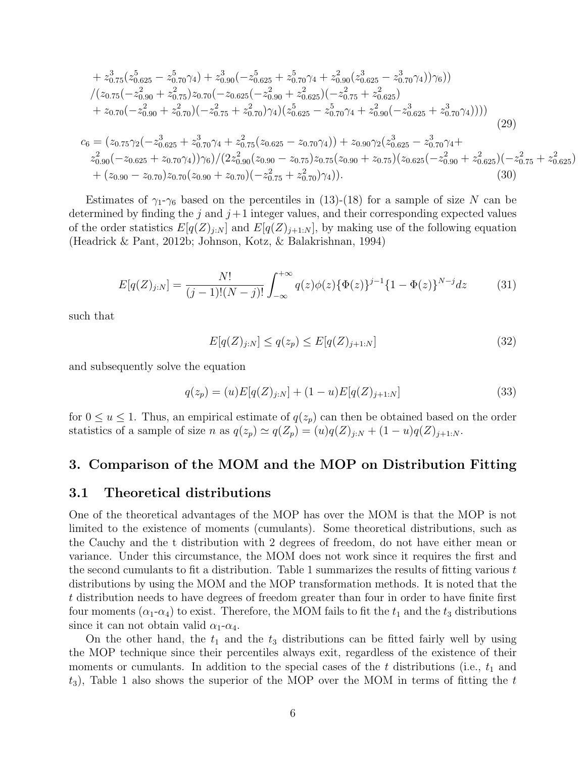$$
+ z_{0.75}^3 (z_{0.625}^5 - z_{0.70}^5 \gamma_4) + z_{0.90}^3 (-z_{0.625}^5 + z_{0.70}^5 \gamma_4 + z_{0.90}^2 (z_{0.625}^3 - z_{0.70}^3 \gamma_4)) \gamma_6))
$$
  
\n
$$
/(z_{0.75}(-z_{0.90}^2 + z_{0.75}^2)z_{0.70}(-z_{0.625}(-z_{0.90}^2 + z_{0.625}^2)(-z_{0.75}^2 + z_{0.625}^2))
$$
  
\n
$$
+ z_{0.70}(-z_{0.90}^2 + z_{0.70}^2)(-z_{0.75}^2 + z_{0.70}^2) \gamma_4) (z_{0.625}^5 - z_{0.70}^5 \gamma_4 + z_{0.90}^2(-z_{0.625}^3 + z_{0.70}^3 \gamma_4)))
$$
  
\n
$$
c_6 = (z_{0.75}\gamma_2(-z_{0.625}^3 + z_{0.70}^3 \gamma_4 + z_{0.75}^2(z_{0.625} - z_{0.70} \gamma_4)) + z_{0.90}\gamma_2(z_{0.625}^3 - z_{0.70}^3 \gamma_4 + z_{0.90}^2(-z_{0.625}^2 + z_{0.70}^2 \gamma_4 + z_{0.90}^2(-z_{0.625} + z_{0.70} \gamma_4)) \gamma_6) / (2z_{0.90}^2 (z_{0.90} - z_{0.75})z_{0.75}(z_{0.90} + z_{0.75})(z_{0.625}(-z_{0.90}^2 + z_{0.625}^2)(-z_{0.75}^2 + z_{0.625}^2 + (z_{0.90} - z_{0.70})z_{0.70}(z_{0.90} + z_{0.70})(-z_{0.75}^2 + z_{0.70}^2) \gamma_4)).
$$
\n(30)

Estimates of  $\gamma_1$ - $\gamma_6$  based on the percentiles in (13)-(18) for a sample of size N can be determined by finding the j and  $j+1$  integer values, and their corresponding expected values of the order statistics  $E[q(Z)<sub>j+N</sub>]$  and  $E[q(Z)<sub>j+1+N</sub>]$ , by making use of the following equation (Headrick & Pant, 2012b; Johnson, Kotz, & Balakrishnan, 1994)

$$
E[q(Z)_{j:N}] = \frac{N!}{(j-1)!(N-j)!} \int_{-\infty}^{+\infty} q(z)\phi(z)\{\Phi(z)\}^{j-1}\{1-\Phi(z)\}^{N-j}dz
$$
 (31)

such that

$$
E[q(Z)_{j:N}] \le q(z_p) \le E[q(Z)_{j+1:N}] \tag{32}
$$

 $\left( \right)$ 

and subsequently solve the equation

$$
q(z_p) = (u)E[q(Z)_{j:N}] + (1 - u)E[q(Z)_{j+1:N}] \tag{33}
$$

for  $0 \le u \le 1$ . Thus, an empirical estimate of  $q(z_p)$  can then be obtained based on the order statistics of a sample of size n as  $q(z_p) \simeq q(Z_p) = (u)q(Z)_{j:N} + (1-u)q(Z)_{j+1:N}$ .

### 3. Comparison of the MOM and the MOP on Distribution Fitting

### 3.1 Theoretical distributions

One of the theoretical advantages of the MOP has over the MOM is that the MOP is not limited to the existence of moments (cumulants). Some theoretical distributions, such as the Cauchy and the t distribution with 2 degrees of freedom, do not have either mean or variance. Under this circumstance, the MOM does not work since it requires the first and the second cumulants to fit a distribution. Table 1 summarizes the results of fitting various  $t$ distributions by using the MOM and the MOP transformation methods. It is noted that the t distribution needs to have degrees of freedom greater than four in order to have finite first four moments  $(\alpha_1-\alpha_4)$  to exist. Therefore, the MOM fails to fit the  $t_1$  and the  $t_3$  distributions since it can not obtain valid  $\alpha_1$ - $\alpha_4$ .

On the other hand, the  $t_1$  and the  $t_3$  distributions can be fitted fairly well by using the MOP technique since their percentiles always exit, regardless of the existence of their moments or cumulants. In addition to the special cases of the t distributions (i.e.,  $t_1$  and  $(t_3)$ , Table 1 also shows the superior of the MOP over the MOM in terms of fitting the t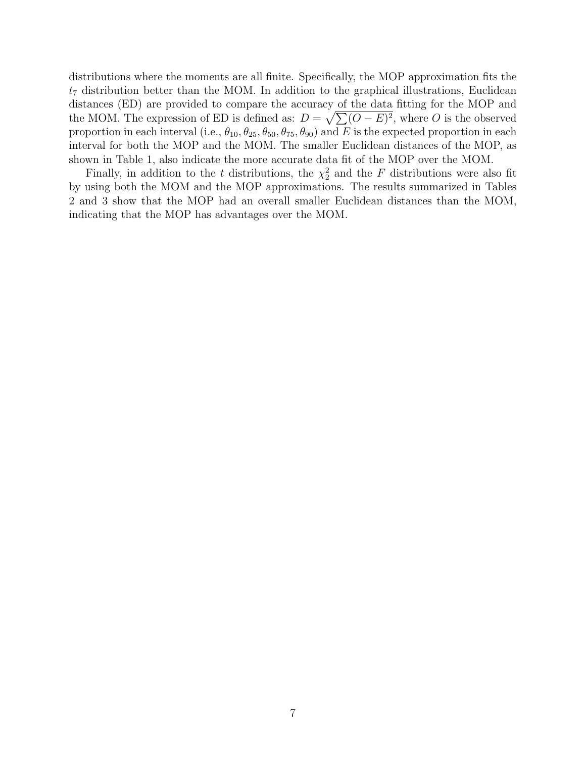distributions where the moments are all finite. Specifically, the MOP approximation fits the  $t_7$  distribution better than the MOM. In addition to the graphical illustrations, Euclidean distances (ED) are provided to compare the accuracy of the data fitting for the MOP and the MOM. The expression of ED is defined as:  $D = \sqrt{\sum (O - E)^2}$ , where O is the observed proportion in each interval (i.e.,  $\theta_{10}, \theta_{25}, \theta_{50}, \theta_{75}, \theta_{90}$ ) and E is the expected proportion in each interval for both the MOP and the MOM. The smaller Euclidean distances of the MOP, as shown in Table 1, also indicate the more accurate data fit of the MOP over the MOM.

Finally, in addition to the t distributions, the  $\chi^2$  and the F distributions were also fit by using both the MOM and the MOP approximations. The results summarized in Tables 2 and 3 show that the MOP had an overall smaller Euclidean distances than the MOM, indicating that the MOP has advantages over the MOM.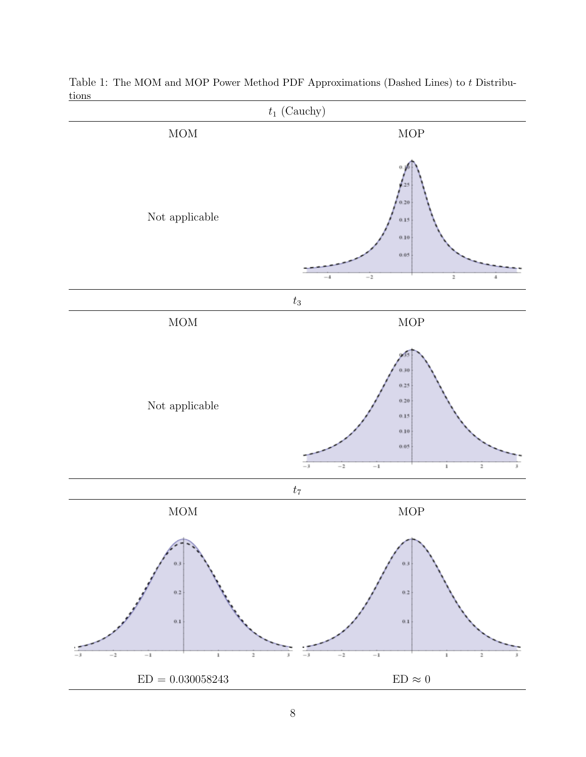

Table 1: The MOM and MOP Power Method PDF Approximations (Dashed Lines) to t Distributions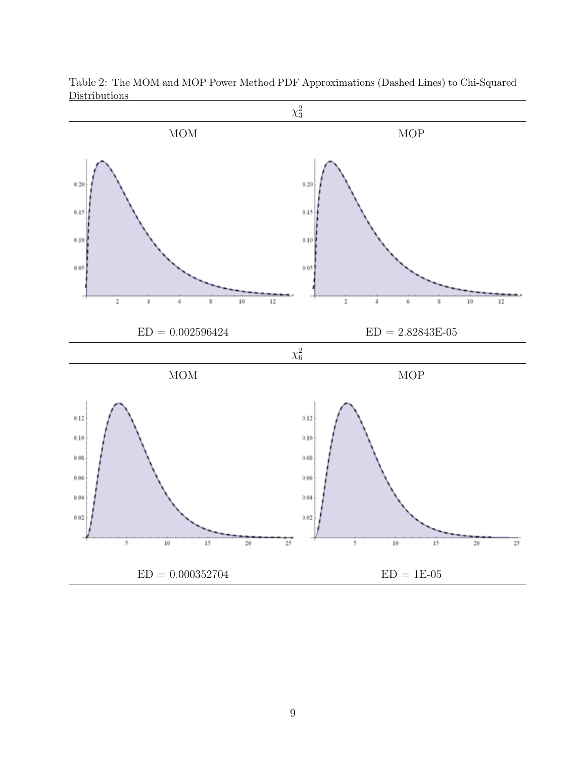

Table 2: The MOM and MOP Power Method PDF Approximations (Dashed Lines) to Chi-Squared **Distributions**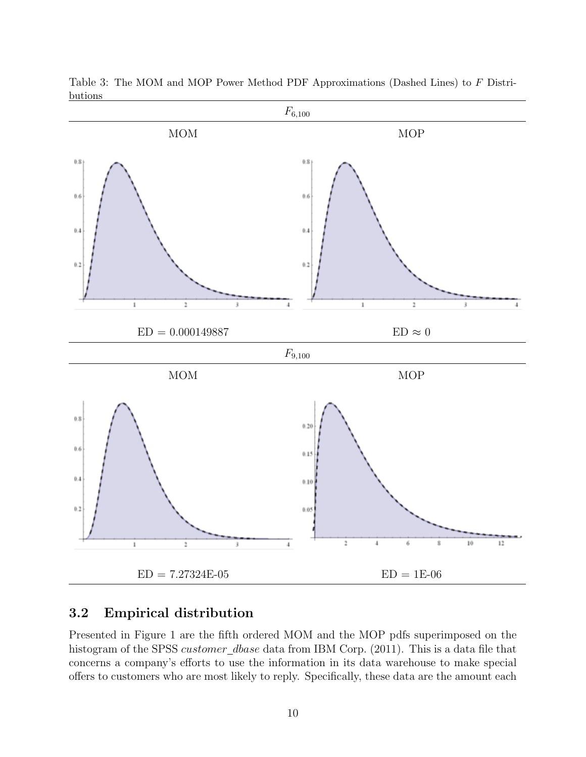

Table 3: The MOM and MOP Power Method PDF Approximations (Dashed Lines) to F Distributions

## 3.2 Empirical distribution

Presented in Figure 1 are the fifth ordered MOM and the MOP pdfs superimposed on the histogram of the SPSS customer\_dbase data from IBM Corp. (2011). This is a data file that concerns a company's efforts to use the information in its data warehouse to make special offers to customers who are most likely to reply. Specifically, these data are the amount each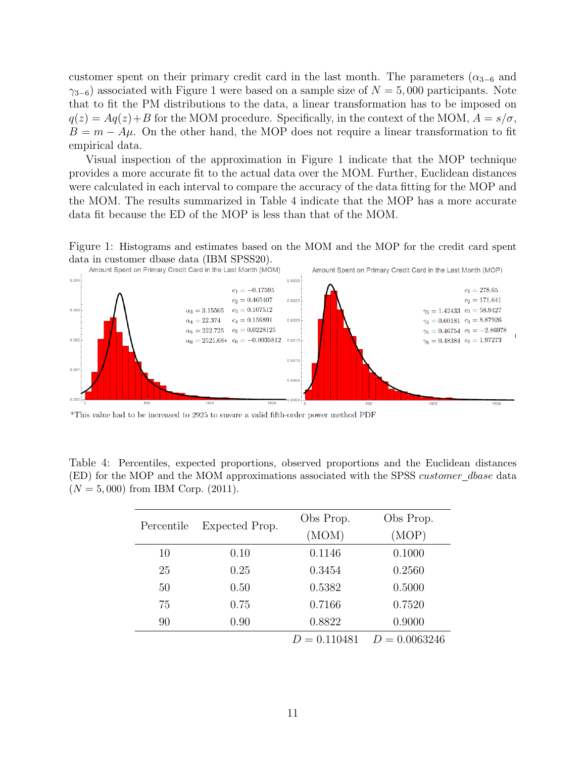customer spent on their primary credit card in the last month. The parameters  $(\alpha_{3-6}$  and  $\gamma_{3-6}$ ) associated with Figure 1 were based on a sample size of  $N = 5,000$  participants. Note that to fit the PM distributions to the data, a linear transformation has to be imposed on  $q(z) = Aq(z) + B$  for the MOM procedure. Specifically, in the context of the MOM,  $A = s/\sigma$ ,  $B = m - A\mu$ . On the other hand, the MOP does not require a linear transformation to fit empirical data.

Visual inspection of the approximation in Figure 1 indicate that the MOP technique provides a more accurate fit to the actual data over the MOM. Further, Euclidean distances were calculated in each interval to compare the accuracy of the data fitting for the MOP and the MOM. The results summarized in Table 4 indicate that the MOP has a more accurate data fit because the ED of the MOP is less than that of the MOM.

Figure 1: Histograms and estimates based on the MOM and the MOP for the credit card spent data in customer dbase data (IBM SPSS20).



 $^{\ast} \mathrm{This}$  value had to be increased to 2925 to ensure a valid fifth-order power method PDF

Table 4: Percentiles, expected proportions, observed proportions and the Euclidean distances (ED) for the MOP and the MOM approximations associated with the SPSS customer\_dbase data  $(N = 5,000)$  from IBM Corp. (2011).

|            |                | Obs Prop.      | Obs Prop.       |  |
|------------|----------------|----------------|-----------------|--|
| Percentile | Expected Prop. | (MOM)          | (MOP)           |  |
| 10         | 0.10           | 0.1146         | 0.1000          |  |
| 25         | 0.25           | 0.3454         | 0.2560          |  |
| 50         | 0.50           | 0.5382         | 0.5000          |  |
| 75         | 0.75           | 0.7166         | 0.7520          |  |
| 90         | 0.90           | 0.8822         | 0.9000          |  |
|            |                | $D = 0.110481$ | $D = 0.0063246$ |  |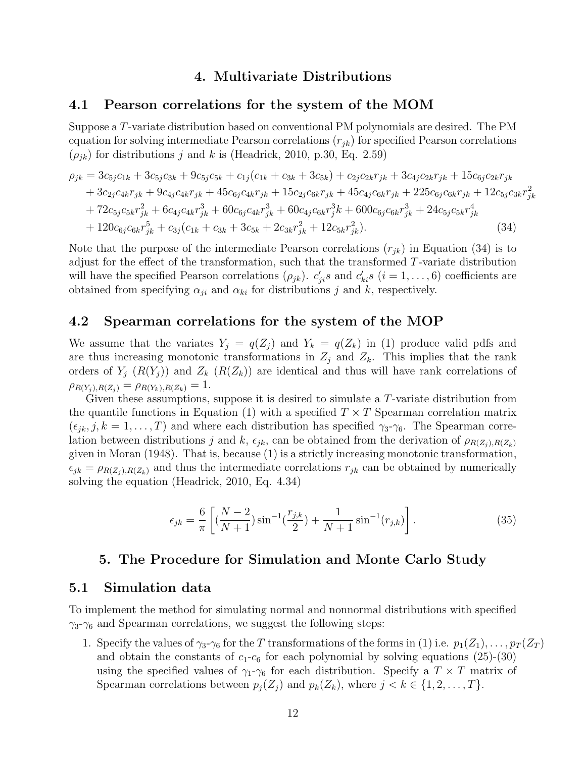### 4. Multivariate Distributions

#### 4.1 Pearson correlations for the system of the MOM

Suppose a T-variate distribution based on conventional PM polynomials are desired. The PM equation for solving intermediate Pearson correlations  $(r_{jk})$  for specified Pearson correlations  $(\rho_{jk})$  for distributions j and k is (Headrick, 2010, p.30, Eq. 2.59)

$$
\rho_{jk} = 3c_{5j}c_{1k} + 3c_{5j}c_{3k} + 9c_{5j}c_{5k} + c_{1j}(c_{1k} + c_{3k} + 3c_{5k}) + c_{2j}c_{2k}r_{jk} + 3c_{4j}c_{2k}r_{jk} + 15c_{6j}c_{2k}r_{jk} + 3c_{2j}c_{4k}r_{jk} + 9c_{4j}c_{4k}r_{jk} + 45c_{6j}c_{4k}r_{jk} + 15c_{2j}c_{6k}r_{jk} + 45c_{4j}c_{6k}r_{jk} + 225c_{6j}c_{6k}r_{jk} + 12c_{5j}c_{3k}r_{jk}^2 + 72c_{5j}c_{5k}r_{jk}^2 + 6c_{4j}c_{4k}r_{jk}^3 + 60c_{6j}c_{4k}r_{jk}^3 + 60c_{4j}c_{6k}r_{jk}^3 + 600c_{6j}c_{6k}r_{jk}^3 + 24c_{5j}c_{5k}r_{jk}^4 + 120c_{6j}c_{6k}r_{jk}^5 + c_{3j}(c_{1k} + c_{3k} + 3c_{5k} + 2c_{3k}r_{jk}^2 + 12c_{5k}r_{jk}^2).
$$
\n(34)

Note that the purpose of the intermediate Pearson correlations  $(r_{ik})$  in Equation (34) is to adjust for the effect of the transformation, such that the transformed T-variate distribution will have the specified Pearson correlations  $(\rho_{jk})$ .  $c'_{ji}s$  and  $c'_{ki}s$   $(i = 1, ..., 6)$  coefficients are obtained from specifying  $\alpha_{ji}$  and  $\alpha_{ki}$  for distributions j and k, respectively.

#### 4.2 Spearman correlations for the system of the MOP

We assume that the variates  $Y_j = q(Z_j)$  and  $Y_k = q(Z_k)$  in (1) produce valid pdfs and are thus increasing monotonic transformations in  $Z_j$  and  $Z_k$ . This implies that the rank orders of  $Y_j$   $(R(Y_j))$  and  $Z_k$   $(R(Z_k))$  are identical and thus will have rank correlations of  $\rho_{R(Y_i),R(Z_i)} = \rho_{R(Y_k),R(Z_k)} = 1.$ 

Given these assumptions, suppose it is desired to simulate a T-variate distribution from the quantile functions in Equation (1) with a specified  $T \times T$  Spearman correlation matrix  $(\epsilon_{jk}, j, k = 1, \ldots, T)$  and where each distribution has specified  $\gamma_3-\gamma_6$ . The Spearman correlation between distributions j and k,  $\epsilon_{jk}$ , can be obtained from the derivation of  $\rho_{R(Z_i),R(Z_k)}$ given in Moran (1948). That is, because (1) is a strictly increasing monotonic transformation,  $\epsilon_{jk} = \rho_{R(Z_i),R(Z_k)}$  and thus the intermediate correlations  $r_{jk}$  can be obtained by numerically solving the equation (Headrick, 2010, Eq. 4.34)

$$
\epsilon_{jk} = \frac{6}{\pi} \left[ \left( \frac{N-2}{N+1} \right) \sin^{-1} \left( \frac{r_{j,k}}{2} \right) + \frac{1}{N+1} \sin^{-1} (r_{j,k}) \right]. \tag{35}
$$

### 5. The Procedure for Simulation and Monte Carlo Study

#### 5.1 Simulation data

To implement the method for simulating normal and nonnormal distributions with specified  $\gamma_3-\gamma_6$  and Spearman correlations, we suggest the following steps:

1. Specify the values of  $\gamma_3-\gamma_6$  for the T transformations of the forms in (1) i.e.  $p_1(Z_1), \ldots, p_T(Z_T)$ and obtain the constants of  $c_1-c_6$  for each polynomial by solving equations (25)-(30) using the specified values of  $\gamma_1$ - $\gamma_6$  for each distribution. Specify a  $T \times T$  matrix of Spearman correlations between  $p_i(Z_i)$  and  $p_k(Z_k)$ , where  $j < k \in \{1, 2, ..., T\}$ .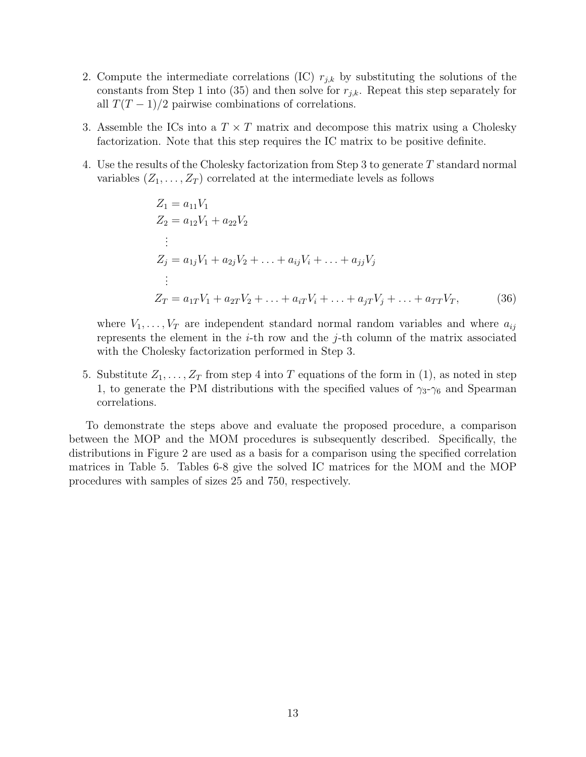- 2. Compute the intermediate correlations (IC)  $r_{j,k}$  by substituting the solutions of the constants from Step 1 into (35) and then solve for  $r_{j,k}$ . Repeat this step separately for all  $T(T-1)/2$  pairwise combinations of correlations.
- 3. Assemble the ICs into a  $T \times T$  matrix and decompose this matrix using a Cholesky factorization. Note that this step requires the IC matrix to be positive definite.
- 4. Use the results of the Cholesky factorization from Step 3 to generate T standard normal variables  $(Z_1, \ldots, Z_T)$  correlated at the intermediate levels as follows

$$
Z_1 = a_{11}V_1
$$
  
\n
$$
Z_2 = a_{12}V_1 + a_{22}V_2
$$
  
\n:  
\n
$$
Z_j = a_{1j}V_1 + a_{2j}V_2 + \dots + a_{ij}V_i + \dots + a_{jj}V_j
$$
  
\n:  
\n
$$
Z_T = a_{1T}V_1 + a_{2T}V_2 + \dots + a_{iT}V_i + \dots + a_{iT}V_j + \dots + a_{TT}V_T,
$$
\n(36)

where  $V_1, \ldots, V_T$  are independent standard normal random variables and where  $a_{ij}$ represents the element in the  $i$ -th row and the  $j$ -th column of the matrix associated with the Cholesky factorization performed in Step 3.

5. Substitute  $Z_1, \ldots, Z_T$  from step 4 into T equations of the form in (1), as noted in step 1, to generate the PM distributions with the specified values of  $\gamma_3-\gamma_6$  and Spearman correlations.

To demonstrate the steps above and evaluate the proposed procedure, a comparison between the MOP and the MOM procedures is subsequently described. Specifically, the distributions in Figure 2 are used as a basis for a comparison using the specified correlation matrices in Table 5. Tables 6-8 give the solved IC matrices for the MOM and the MOP procedures with samples of sizes 25 and 750, respectively.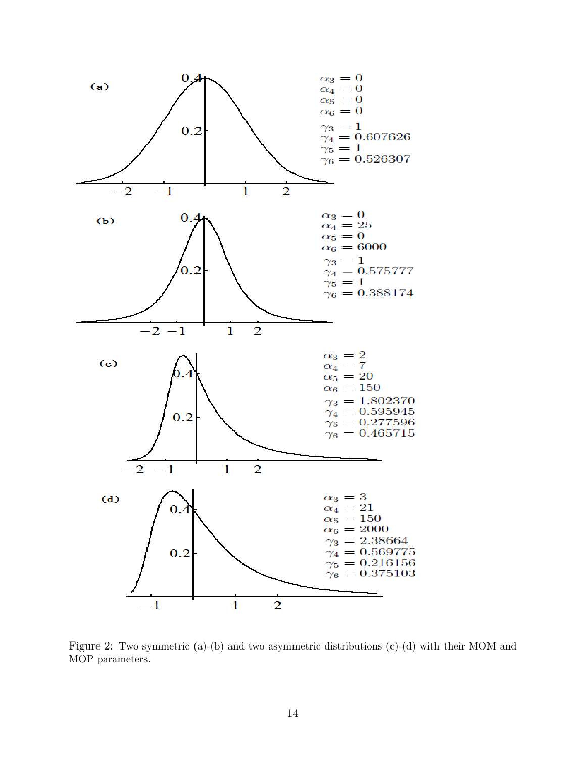

Figure 2: Two symmetric (a)-(b) and two asymmetric distributions (c)-(d) with their MOM and MOP parameters.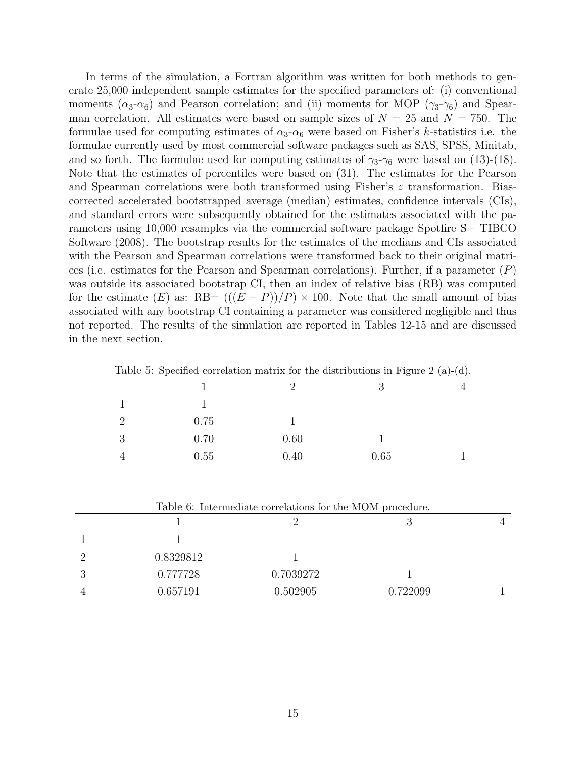In terms of the simulation, a Fortran algorithm was written for both methods to generate 25,000 independent sample estimates for the specified parameters of: (i) conventional moments ( $\alpha_3-\alpha_6$ ) and Pearson correlation; and (ii) moments for MOP ( $\gamma_3-\gamma_6$ ) and Spearman correlation. All estimates were based on sample sizes of  $N = 25$  and  $N = 750$ . The formulae used for computing estimates of  $\alpha_3-\alpha_6$  were based on Fisher's k-statistics i.e. the formulae currently used by most commercial software packages such as SAS, SPSS, Minitab, and so forth. The formulae used for computing estimates of  $\gamma_3-\gamma_6$  were based on (13)-(18). Note that the estimates of percentiles were based on (31). The estimates for the Pearson and Spearman correlations were both transformed using Fisher's z transformation. Biascorrected accelerated bootstrapped average (median) estimates, confidence intervals (CIs), and standard errors were subsequently obtained for the estimates associated with the parameters using 10,000 resamples via the commercial software package Spotfire S+ TIBCO Software (2008). The bootstrap results for the estimates of the medians and CIs associated with the Pearson and Spearman correlations were transformed back to their original matrices (i.e. estimates for the Pearson and Spearman correlations). Further, if a parameter  $(P)$ was outside its associated bootstrap CI, then an index of relative bias (RB) was computed for the estimate  $(E)$  as: RB=  $((E - P))/P \times 100$ . Note that the small amount of bias associated with any bootstrap CI containing a parameter was considered negligible and thus not reported. The results of the simulation are reported in Tables 12-15 and are discussed in the next section.

| 0.75<br>0.70<br>0.60<br>0.40<br>0.55<br>0.65 |  | Lable 0. Declined correlation matrix for the distributions in Figure 2 (a)-(g). |  |  |
|----------------------------------------------|--|---------------------------------------------------------------------------------|--|--|
|                                              |  |                                                                                 |  |  |
|                                              |  |                                                                                 |  |  |
|                                              |  |                                                                                 |  |  |
|                                              |  |                                                                                 |  |  |
|                                              |  |                                                                                 |  |  |

Table 5: Specified correlation matrix for the distributions in Figure 2 (a)-(d).

| Table 6: Intermediate correlations for the MOM procedure. |           |           |          |  |  |  |  |
|-----------------------------------------------------------|-----------|-----------|----------|--|--|--|--|
|                                                           |           |           |          |  |  |  |  |
|                                                           |           |           |          |  |  |  |  |
|                                                           | 0.8329812 |           |          |  |  |  |  |
|                                                           | 0.777728  | 0.7039272 |          |  |  |  |  |
|                                                           | 0.657191  | 0.502905  | 0.722099 |  |  |  |  |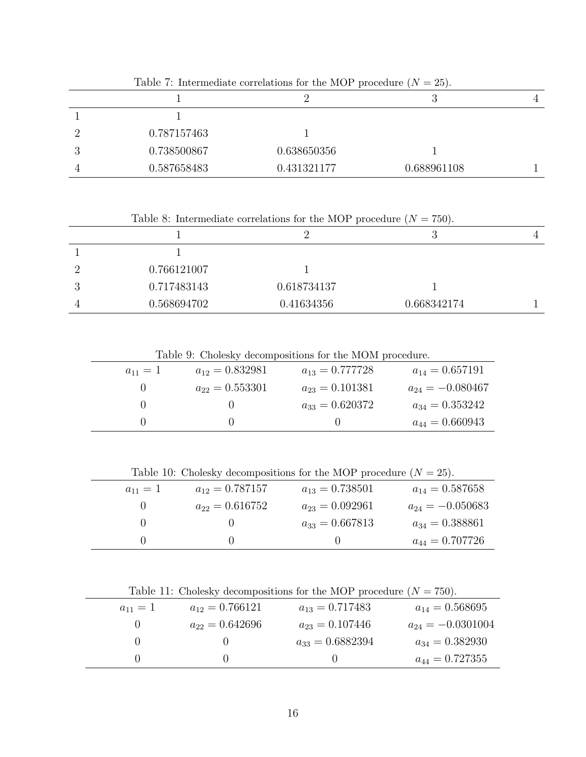|    | Table 1. Intermediate correlations for the MOT procedure $(N = 20)$ . |             |             |   |  |  |  |  |
|----|-----------------------------------------------------------------------|-------------|-------------|---|--|--|--|--|
|    |                                                                       |             | ◡           | 4 |  |  |  |  |
|    |                                                                       |             |             |   |  |  |  |  |
|    | 0.787157463                                                           |             |             |   |  |  |  |  |
| J. | 0.738500867                                                           | 0.638650356 |             |   |  |  |  |  |
|    | 0.587658483                                                           | 0.431321177 | 0.688961108 |   |  |  |  |  |

Table 7: Intermediate correlations for the MOP procedure  $(N - 25)$ .

Table 8: Intermediate correlations for the MOP procedure  $(N = 750)$ .

|    |             |             | ್ರ          | 4 |
|----|-------------|-------------|-------------|---|
|    |             |             |             |   |
|    | 0.766121007 |             |             |   |
| IJ | 0.717483143 | 0.618734137 |             |   |
|    | 0.568694702 | 0.41634356  | 0.668342174 |   |

Table 9: Cholesky decompositions for the MOM procedure.

| $a_{11} = 1$ | $a_{12} = 0.832981$ | $a_{13} = 0.777728$ | $a_{14} = 0.657191$  |
|--------------|---------------------|---------------------|----------------------|
|              | $a_{22} = 0.553301$ | $a_{23} = 0.101381$ | $a_{24} = -0.080467$ |
|              |                     | $a_{33} = 0.620372$ | $a_{34} = 0.353242$  |
|              |                     |                     | $a_{44} = 0.660943$  |

Table 10: Cholesky decompositions for the MOP procedure  $(N = 25)$ .

| $a_{11} = 1$ | $a_{12} = 0.787157$ | $a_{13} = 0.738501$ | $a_{14} = 0.587658$  |
|--------------|---------------------|---------------------|----------------------|
|              | $a_{22}=0.616752$   | $a_{23} = 0.092961$ | $a_{24} = -0.050683$ |
|              |                     | $a_{33} = 0.667813$ | $a_{34} = 0.388861$  |
|              |                     |                     | $a_{44} = 0.707726$  |

Table 11: Cholesky decompositions for the MOP procedure  $(N = 750)$ .

| $a_{11} = 1$ | $a_{12} = 0.766121$ | $a_{13} = 0.717483$  | $a_{14} = 0.568695$   |
|--------------|---------------------|----------------------|-----------------------|
|              | $a_{22} = 0.642696$ | $a_{23} = 0.107446$  | $a_{24} = -0.0301004$ |
|              |                     | $a_{33} = 0.6882394$ | $a_{34} = 0.382930$   |
|              |                     |                      | $a_{44} = 0.727355$   |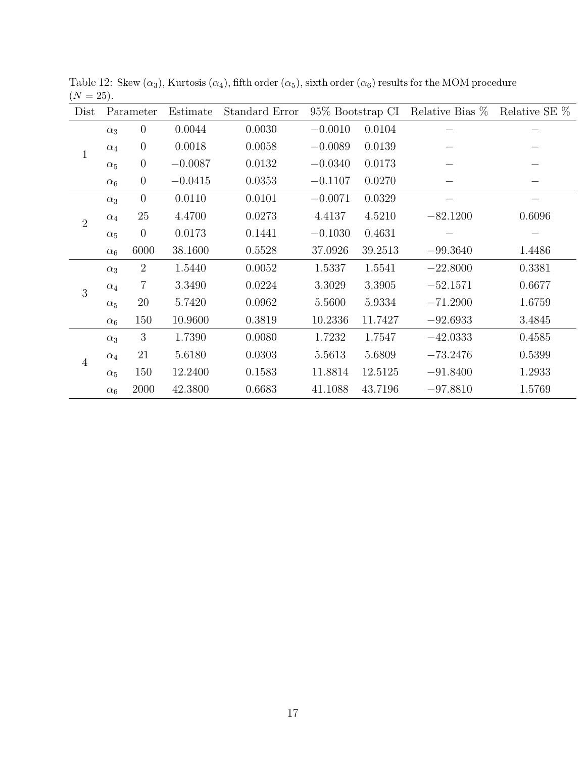| Dist           |            | Parameter      | 95\% Bootstrap CI<br>Estimate<br>Standard Error |        | Relative Bias % | Relative SE % |            |        |
|----------------|------------|----------------|-------------------------------------------------|--------|-----------------|---------------|------------|--------|
|                | $\alpha_3$ | $\theta$       | 0.0044                                          | 0.0030 | $-0.0010$       | 0.0104        |            |        |
| $\mathbf{1}$   | $\alpha_4$ | $\theta$       | 0.0018                                          | 0.0058 | $-0.0089$       | 0.0139        |            |        |
|                | $\alpha_5$ | $\theta$       | $-0.0087$                                       | 0.0132 | $-0.0340$       | 0.0173        |            |        |
|                | $\alpha_6$ | $\theta$       | $-0.0415$                                       | 0.0353 | $-0.1107$       | 0.0270        |            |        |
|                | $\alpha_3$ | $\theta$       | 0.0110                                          | 0.0101 | $-0.0071$       | 0.0329        |            |        |
| $\overline{2}$ | $\alpha_4$ | $25\,$         | 4.4700                                          | 0.0273 | 4.4137          | 4.5210        | $-82.1200$ | 0.6096 |
|                | $\alpha_5$ | $\theta$       | 0.0173                                          | 0.1441 | $-0.1030$       | 0.4631        |            |        |
|                | $\alpha_6$ | 6000           | 38.1600                                         | 0.5528 | 37.0926         | 39.2513       | $-99.3640$ | 1.4486 |
|                | $\alpha_3$ | $\overline{2}$ | 1.5440                                          | 0.0052 | 1.5337          | 1.5541        | $-22.8000$ | 0.3381 |
| 3              | $\alpha_4$ | 7              | 3.3490                                          | 0.0224 | 3.3029          | 3.3905        | $-52.1571$ | 0.6677 |
|                | $\alpha_5$ | 20             | 5.7420                                          | 0.0962 | 5.5600          | 5.9334        | $-71.2900$ | 1.6759 |
|                | $\alpha_6$ | 150            | 10.9600                                         | 0.3819 | 10.2336         | 11.7427       | $-92.6933$ | 3.4845 |
|                | $\alpha_3$ | 3              | 1.7390                                          | 0.0080 | 1.7232          | 1.7547        | $-42.0333$ | 0.4585 |
| $\overline{4}$ | $\alpha_4$ | 21             | 5.6180                                          | 0.0303 | 5.5613          | 5.6809        | $-73.2476$ | 0.5399 |
|                | $\alpha_5$ | 150            | 12.2400                                         | 0.1583 | 11.8814         | 12.5125       | $-91.8400$ | 1.2933 |
|                | $\alpha_6$ | 2000           | 42.3800                                         | 0.6683 | 41.1088         | 43.7196       | $-97.8810$ | 1.5769 |

Table 12: Skew  $(\alpha_3)$ , Kurtosis  $(\alpha_4)$ , fifth order  $(\alpha_5)$ , sixth order  $(\alpha_6)$  results for the MOM procedure  $(N = 25).$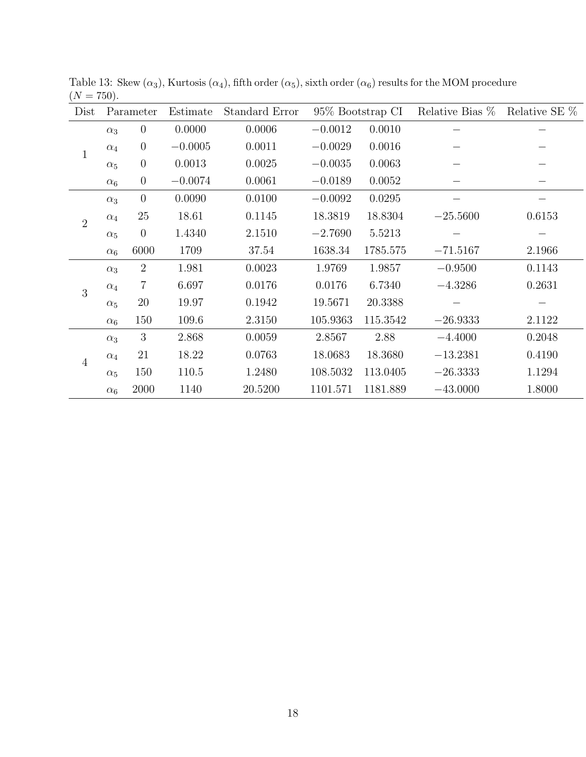| Dist           | Parameter  |                | Estimate  | Standard Error |           | 95\% Bootstrap CI | Relative Bias % | Relative SE % |
|----------------|------------|----------------|-----------|----------------|-----------|-------------------|-----------------|---------------|
|                | $\alpha_3$ | $\overline{0}$ | 0.0000    | 0.0006         | $-0.0012$ | 0.0010            |                 |               |
| $\mathbf{1}$   | $\alpha_4$ | $\overline{0}$ | $-0.0005$ | 0.0011         | $-0.0029$ | 0.0016            |                 |               |
|                | $\alpha_5$ | $\theta$       | 0.0013    | 0.0025         | $-0.0035$ | 0.0063            |                 |               |
|                | $\alpha_6$ | $\overline{0}$ | $-0.0074$ | 0.0061         | $-0.0189$ | 0.0052            |                 |               |
|                | $\alpha_3$ | $\overline{0}$ | 0.0090    | 0.0100         | $-0.0092$ | 0.0295            |                 |               |
| $\overline{2}$ | $\alpha_4$ | 25             | 18.61     | 0.1145         | 18.3819   | 18.8304           | $-25.5600$      | 0.6153        |
|                | $\alpha_5$ | $\overline{0}$ | 1.4340    | 2.1510         | $-2.7690$ | 5.5213            |                 |               |
|                | $\alpha_6$ | 6000           | 1709      | 37.54          | 1638.34   | 1785.575          | $-71.5167$      | 2.1966        |
|                | $\alpha_3$ | $\overline{2}$ | 1.981     | 0.0023         | 1.9769    | 1.9857            | $-0.9500$       | 0.1143        |
| 3              | $\alpha_4$ | $\overline{7}$ | 6.697     | 0.0176         | 0.0176    | 6.7340            | $-4.3286$       | 0.2631        |
|                | $\alpha_5$ | 20             | 19.97     | 0.1942         | 19.5671   | 20.3388           |                 |               |
|                | $\alpha_6$ | 150            | 109.6     | 2.3150         | 105.9363  | 115.3542          | $-26.9333$      | 2.1122        |
|                | $\alpha_3$ | 3              | 2.868     | 0.0059         | 2.8567    | 2.88              | $-4.4000$       | 0.2048        |
| $\overline{4}$ | $\alpha_4$ | 21             | 18.22     | 0.0763         | 18.0683   | 18.3680           | $-13.2381$      | 0.4190        |
|                | $\alpha_5$ | 150            | 110.5     | 1.2480         | 108.5032  | 113.0405          | $-26.3333$      | 1.1294        |
|                | $\alpha_6$ | 2000           | 1140      | 20.5200        | 1101.571  | 1181.889          | $-43.0000$      | 1.8000        |

Table 13: Skew  $(\alpha_3)$ , Kurtosis  $(\alpha_4)$ , fifth order  $(\alpha_5)$ , sixth order  $(\alpha_6)$  results for the MOM procedure  $(N = 750).$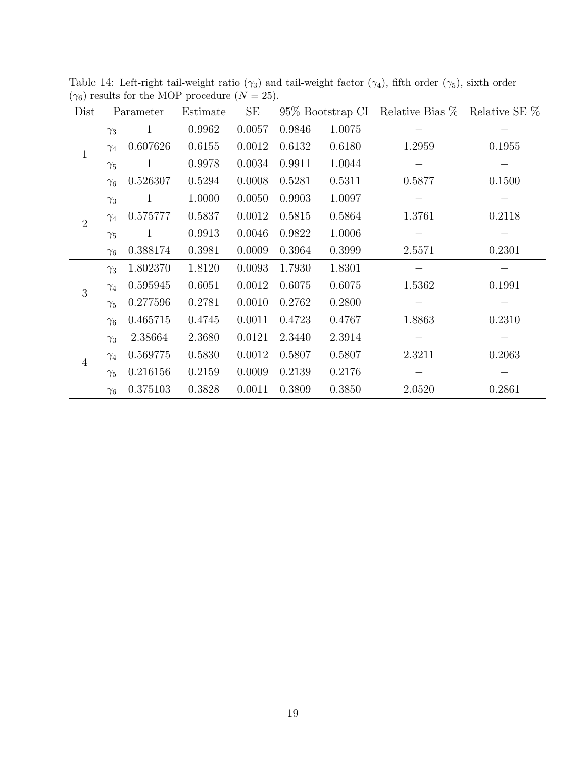| Dist           | Parameter  |              | Estimate | SE     |        |        | 95% Bootstrap CI Relative Bias % Relative SE % |        |
|----------------|------------|--------------|----------|--------|--------|--------|------------------------------------------------|--------|
|                | $\gamma_3$ | 1            | 0.9962   | 0.0057 | 0.9846 | 1.0075 |                                                |        |
| $\mathbf{1}$   | $\gamma_4$ | 0.607626     | 0.6155   | 0.0012 | 0.6132 | 0.6180 | 1.2959                                         | 0.1955 |
|                | $\gamma_5$ | $\mathbf{1}$ | 0.9978   | 0.0034 | 0.9911 | 1.0044 |                                                |        |
|                | $\gamma_6$ | 0.526307     | 0.5294   | 0.0008 | 0.5281 | 0.5311 | 0.5877                                         | 0.1500 |
|                | $\gamma_3$ | $\mathbf{1}$ | 1.0000   | 0.0050 | 0.9903 | 1.0097 |                                                |        |
| $\overline{2}$ | $\gamma_4$ | 0.575777     | 0.5837   | 0.0012 | 0.5815 | 0.5864 | 1.3761                                         | 0.2118 |
|                | $\gamma_5$ | $\mathbf{1}$ | 0.9913   | 0.0046 | 0.9822 | 1.0006 |                                                |        |
|                | $\gamma_6$ | 0.388174     | 0.3981   | 0.0009 | 0.3964 | 0.3999 | 2.5571                                         | 0.2301 |
|                | $\gamma_3$ | 1.802370     | 1.8120   | 0.0093 | 1.7930 | 1.8301 |                                                |        |
| 3              | $\gamma_4$ | 0.595945     | 0.6051   | 0.0012 | 0.6075 | 0.6075 | 1.5362                                         | 0.1991 |
|                | $\gamma_5$ | 0.277596     | 0.2781   | 0.0010 | 0.2762 | 0.2800 |                                                |        |
|                | $\gamma_6$ | 0.465715     | 0.4745   | 0.0011 | 0.4723 | 0.4767 | 1.8863                                         | 0.2310 |
|                | $\gamma_3$ | 2.38664      | 2.3680   | 0.0121 | 2.3440 | 2.3914 |                                                |        |
| $\overline{4}$ | $\gamma_4$ | 0.569775     | 0.5830   | 0.0012 | 0.5807 | 0.5807 | 2.3211                                         | 0.2063 |
|                | $\gamma_5$ | 0.216156     | 0.2159   | 0.0009 | 0.2139 | 0.2176 |                                                |        |
|                | $\gamma_6$ | 0.375103     | 0.3828   | 0.0011 | 0.3809 | 0.3850 | 2.0520                                         | 0.2861 |

Table 14: Left-right tail-weight ratio ( $\gamma_3$ ) and tail-weight factor ( $\gamma_4$ ), fifth order ( $\gamma_5$ ), sixth order  $(\gamma_6)$  results for the MOP procedure  $(N = 25)$ .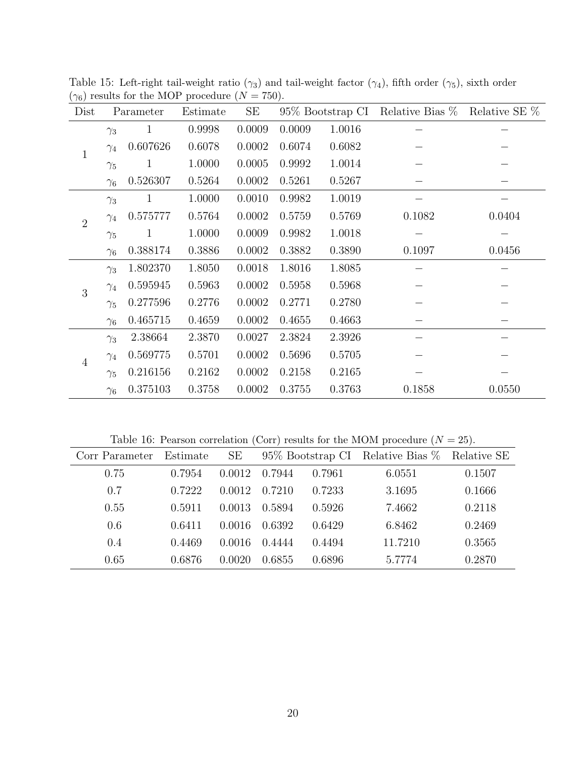| Dist           | Parameter  |              | Estimate | $\rm SE$ |        | 95\% Bootstrap CI | Relative Bias % | Relative SE % |
|----------------|------------|--------------|----------|----------|--------|-------------------|-----------------|---------------|
|                | $\gamma_3$ | $\mathbf{1}$ | 0.9998   | 0.0009   | 0.0009 | 1.0016            |                 |               |
| $\mathbf{1}$   | $\gamma_4$ | 0.607626     | 0.6078   | 0.0002   | 0.6074 | 0.6082            |                 |               |
|                | $\gamma_5$ | $\mathbf 1$  | 1.0000   | 0.0005   | 0.9992 | 1.0014            |                 |               |
|                | $\gamma_6$ | 0.526307     | 0.5264   | 0.0002   | 0.5261 | 0.5267            |                 |               |
|                | $\gamma_3$ | $\mathbf{1}$ | 1.0000   | 0.0010   | 0.9982 | 1.0019            |                 |               |
| $\overline{2}$ | $\gamma_4$ | 0.575777     | 0.5764   | 0.0002   | 0.5759 | 0.5769            | 0.1082          | 0.0404        |
|                | $\gamma_5$ | $\mathbf{1}$ | 1.0000   | 0.0009   | 0.9982 | 1.0018            |                 |               |
|                | $\gamma_6$ | 0.388174     | 0.3886   | 0.0002   | 0.3882 | 0.3890            | 0.1097          | 0.0456        |
|                | $\gamma_3$ | 1.802370     | 1.8050   | 0.0018   | 1.8016 | 1.8085            |                 |               |
| 3              | $\gamma_4$ | 0.595945     | 0.5963   | 0.0002   | 0.5958 | 0.5968            |                 |               |
|                | $\gamma_5$ | 0.277596     | 0.2776   | 0.0002   | 0.2771 | 0.2780            |                 |               |
|                | $\gamma_6$ | 0.465715     | 0.4659   | 0.0002   | 0.4655 | 0.4663            |                 |               |
|                | $\gamma_3$ | 2.38664      | 2.3870   | 0.0027   | 2.3824 | 2.3926            |                 |               |
| $\overline{4}$ | $\gamma_4$ | 0.569775     | 0.5701   | 0.0002   | 0.5696 | 0.5705            |                 |               |
|                | $\gamma_5$ | 0.216156     | 0.2162   | 0.0002   | 0.2158 | 0.2165            |                 |               |
|                | $\gamma_6$ | 0.375103     | 0.3758   | 0.0002   | 0.3755 | 0.3763            | 0.1858          | 0.0550        |

Table 15: Left-right tail-weight ratio ( $\gamma_3$ ) and tail-weight factor ( $\gamma_4$ ), fifth order ( $\gamma_5$ ), sixth order  $(\gamma_6)$  results for the MOP procedure  $(N = 750)$ .

Table 16: Pearson correlation (Corr) results for the MOM procedure  $(N = 25)$ .

| Corr Parameter | Estimate | SE     |        |        | 95% Bootstrap CI Relative Bias % Relative SE |        |
|----------------|----------|--------|--------|--------|----------------------------------------------|--------|
| 0.75           | 0.7954   | 0.0012 | 0.7944 | 0.7961 | 6.0551                                       | 0.1507 |
| 0.7            | 0.7222   | 0.0012 | 0.7210 | 0.7233 | 3.1695                                       | 0.1666 |
| 0.55           | 0.5911   | 0.0013 | 0.5894 | 0.5926 | 7.4662                                       | 0.2118 |
| 0.6            | 0.6411   | 0.0016 | 0.6392 | 0.6429 | 6.8462                                       | 0.2469 |
| 0.4            | 0.4469   | 0.0016 | 0.4444 | 0.4494 | 11.7210                                      | 0.3565 |
| 0.65           | 0.6876   | 0.0020 | 0.6855 | 0.6896 | 5.7774                                       | 0.2870 |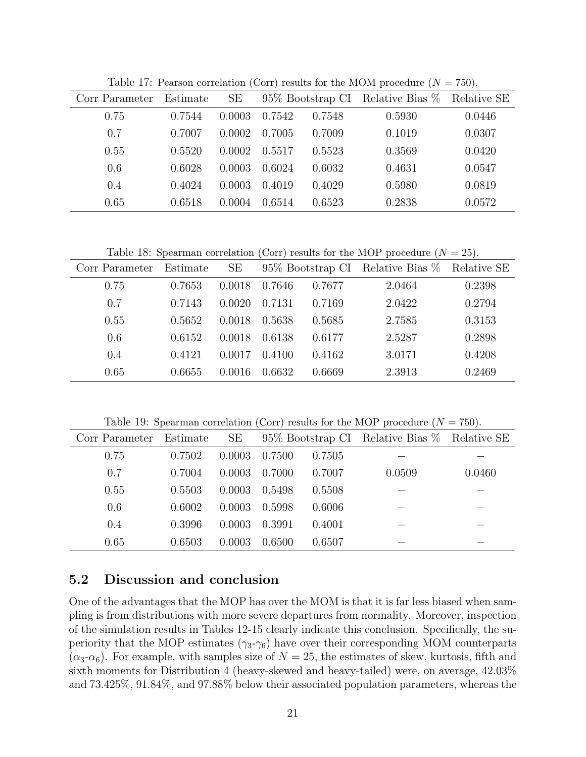| Corr Parameter | Estimate | <b>SE</b> |        |        | 95\% Bootstrap CI Relative Bias $\%$ | Relative SE |
|----------------|----------|-----------|--------|--------|--------------------------------------|-------------|
| 0.75           | 0.7544   | 0.0003    | 0.7542 | 0.7548 | 0.5930                               | 0.0446      |
| 0.7            | 0.7007   | 0.0002    | 0.7005 | 0.7009 | 0.1019                               | 0.0307      |
| 0.55           | 0.5520   | 0.0002    | 0.5517 | 0.5523 | 0.3569                               | 0.0420      |
| 0.6            | 0.6028   | 0.0003    | 0.6024 | 0.6032 | 0.4631                               | 0.0547      |
| 0.4            | 0.4024   | 0.0003    | 0.4019 | 0.4029 | 0.5980                               | 0.0819      |
| 0.65           | 0.6518   | 0.0004    | 0.6514 | 0.6523 | 0.2838                               | 0.0572      |

Table 17: Pearson correlation (Corr) results for the MOM procedure  $(N = 750)$ .

Table 18: Spearman correlation (Corr) results for the MOP procedure  $(N = 25)$ .

| Corr Parameter | Estimate | SE     | 95% Bootstrap CI Relative Bias % Relative SE |        |        |        |
|----------------|----------|--------|----------------------------------------------|--------|--------|--------|
| 0.75           | 0.7653   | 0.0018 | 0.7646                                       | 0.7677 | 2.0464 | 0.2398 |
| 0.7            | 0.7143   | 0.0020 | 0.7131                                       | 0.7169 | 2.0422 | 0.2794 |
| 0.55           | 0.5652   | 0.0018 | 0.5638                                       | 0.5685 | 2.7585 | 0.3153 |
| 0.6            | 0.6152   | 0.0018 | 0.6138                                       | 0.6177 | 2.5287 | 0.2898 |
| 0.4            | 0.4121   | 0.0017 | 0.4100                                       | 0.4162 | 3.0171 | 0.4208 |
| 0.65           | 0.6655   | 0.0016 | 0.6632                                       | 0.6669 | 2.3913 | 0.2469 |

Table 19: Spearman correlation (Corr) results for the MOP procedure  $(N = 750)$ .

| Corr Parameter | Estimate | SE     | 95% Bootstrap CI Relative Bias % Relative SE |        |        |        |
|----------------|----------|--------|----------------------------------------------|--------|--------|--------|
| 0.75           | 0.7502   | 0.0003 | 0.7500                                       | 0.7505 |        |        |
| 0.7            | 0.7004   | 0.0003 | 0.7000                                       | 0.7007 | 0.0509 | 0.0460 |
| 0.55           | 0.5503   | 0.0003 | 0.5498                                       | 0.5508 |        |        |
| 0.6            | 0.6002   | 0.0003 | 0.5998                                       | 0.6006 |        |        |
| 0.4            | 0.3996   | 0.0003 | 0.3991                                       | 0.4001 |        |        |
| 0.65           | 0.6503   | 0.0003 | 0.6500                                       | 0.6507 |        |        |

## 5.2 Discussion and conclusion

One of the advantages that the MOP has over the MOM is that it is far less biased when sampling is from distributions with more severe departures from normality. Moreover, inspection of the simulation results in Tables 12-15 clearly indicate this conclusion. Specifically, the superiority that the MOP estimates  $(\gamma_3-\gamma_6)$  have over their corresponding MOM counterparts  $(\alpha_3-\alpha_6)$ . For example, with samples size of  $N=25$ , the estimates of skew, kurtosis, fifth and sixth moments for Distribution 4 (heavy-skewed and heavy-tailed) were, on average, 42.03% and 73.425%, 91.84%, and 97.88% below their associated population parameters, whereas the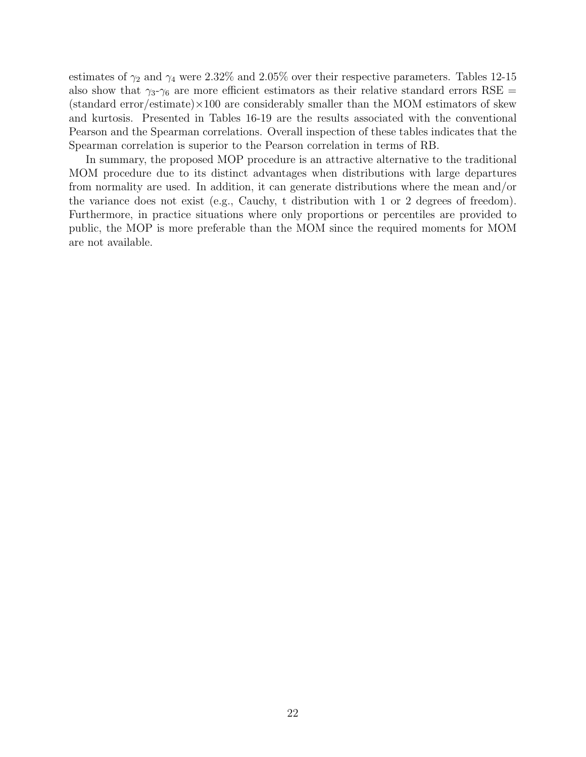estimates of  $\gamma_2$  and  $\gamma_4$  were 2.32% and 2.05% over their respective parameters. Tables 12-15 also show that  $\gamma_3-\gamma_6$  are more efficient estimators as their relative standard errors RSE =  $(\text{standard error/estimate}) \times 100$  are considerably smaller than the MOM estimators of skew and kurtosis. Presented in Tables 16-19 are the results associated with the conventional Pearson and the Spearman correlations. Overall inspection of these tables indicates that the Spearman correlation is superior to the Pearson correlation in terms of RB.

In summary, the proposed MOP procedure is an attractive alternative to the traditional MOM procedure due to its distinct advantages when distributions with large departures from normality are used. In addition, it can generate distributions where the mean and/or the variance does not exist (e.g., Cauchy, t distribution with 1 or 2 degrees of freedom). Furthermore, in practice situations where only proportions or percentiles are provided to public, the MOP is more preferable than the MOM since the required moments for MOM are not available.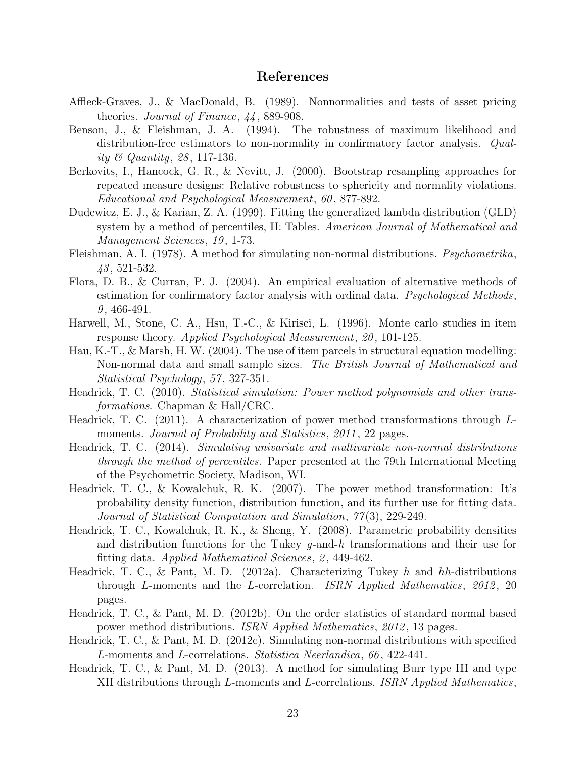#### References

- Affleck-Graves, J., & MacDonald, B. (1989). Nonnormalities and tests of asset pricing theories. Journal of Finance, 44 , 889-908.
- Benson, J., & Fleishman, J. A. (1994). The robustness of maximum likelihood and distribution-free estimators to non-normality in confirmatory factor analysis. Quality & Quantity, 28, 117-136.
- Berkovits, I., Hancock, G. R., & Nevitt, J. (2000). Bootstrap resampling approaches for repeated measure designs: Relative robustness to sphericity and normality violations. Educational and Psychological Measurement, 60 , 877-892.
- Dudewicz, E. J., & Karian, Z. A. (1999). Fitting the generalized lambda distribution (GLD) system by a method of percentiles, II: Tables. American Journal of Mathematical and Management Sciences, 19 , 1-73.
- Fleishman, A. I. (1978). A method for simulating non-normal distributions. Psychometrika, 43 , 521-532.
- Flora, D. B., & Curran, P. J. (2004). An empirical evaluation of alternative methods of estimation for confirmatory factor analysis with ordinal data. *Psychological Methods*,  $9,466-491.$
- Harwell, M., Stone, C. A., Hsu, T.-C., & Kirisci, L. (1996). Monte carlo studies in item response theory. Applied Psychological Measurement, 20 , 101-125.
- Hau, K.-T., & Marsh, H. W. (2004). The use of item parcels in structural equation modelling: Non-normal data and small sample sizes. The British Journal of Mathematical and Statistical Psychology, 57, 327-351.
- Headrick, T. C. (2010). Statistical simulation: Power method polynomials and other transformations. Chapman & Hall/CRC.
- Headrick, T. C. (2011). A characterization of power method transformations through Lmoments. *Journal of Probability and Statistics*, 2011, 22 pages.
- Headrick, T. C. (2014). Simulating univariate and multivariate non-normal distributions through the method of percentiles. Paper presented at the 79th International Meeting of the Psychometric Society, Madison, WI.
- Headrick, T. C., & Kowalchuk, R. K. (2007). The power method transformation: It's probability density function, distribution function, and its further use for fitting data. Journal of Statistical Computation and Simulation, 77 (3), 229-249.
- Headrick, T. C., Kowalchuk, R. K., & Sheng, Y. (2008). Parametric probability densities and distribution functions for the Tukey g-and-h transformations and their use for fitting data. Applied Mathematical Sciences, 2, 449-462.
- Headrick, T. C., & Pant, M. D. (2012a). Characterizing Tukey h and hh-distributions through L-moments and the L-correlation. ISRN Applied Mathematics, 2012, 20 pages.
- Headrick, T. C., & Pant, M. D. (2012b). On the order statistics of standard normal based power method distributions. ISRN Applied Mathematics, 2012 , 13 pages.
- Headrick, T. C., & Pant, M. D. (2012c). Simulating non-normal distributions with specified L-moments and L-correlations. Statistica Neerlandica, 66 , 422-441.
- Headrick, T. C., & Pant, M. D. (2013). A method for simulating Burr type III and type XII distributions through L-moments and L-correlations. ISRN Applied Mathematics,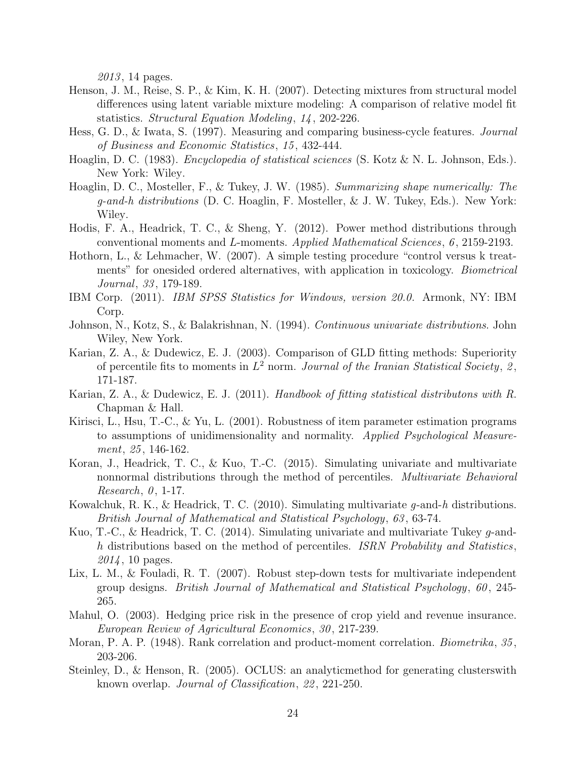2013, 14 pages.

- Henson, J. M., Reise, S. P., & Kim, K. H. (2007). Detecting mixtures from structural model differences using latent variable mixture modeling: A comparison of relative model fit statistics. Structural Equation Modeling, 14 , 202-226.
- Hess, G. D., & Iwata, S. (1997). Measuring and comparing business-cycle features. Journal of Business and Economic Statistics, 15 , 432-444.
- Hoaglin, D. C. (1983). *Encyclopedia of statistical sciences* (S. Kotz & N. L. Johnson, Eds.). New York: Wiley.
- Hoaglin, D. C., Mosteller, F., & Tukey, J. W. (1985). Summarizing shape numerically: The g-and-h distributions (D. C. Hoaglin, F. Mosteller, & J. W. Tukey, Eds.). New York: Wiley.
- Hodis, F. A., Headrick, T. C., & Sheng, Y. (2012). Power method distributions through conventional moments and L-moments. Applied Mathematical Sciences, 6 , 2159-2193.
- Hothorn, L., & Lehmacher, W. (2007). A simple testing procedure "control versus k treatments" for onesided ordered alternatives, with application in toxicology. Biometrical Journal, 33, 179-189.
- IBM Corp. (2011). IBM SPSS Statistics for Windows, version 20.0. Armonk, NY: IBM Corp.
- Johnson, N., Kotz, S., & Balakrishnan, N. (1994). Continuous univariate distributions. John Wiley, New York.
- Karian, Z. A., & Dudewicz, E. J. (2003). Comparison of GLD fitting methods: Superiority of percentile fits to moments in  $L^2$  norm. Journal of the Iranian Statistical Society, 2, 171-187.
- Karian, Z. A., & Dudewicz, E. J. (2011). Handbook of fitting statistical distributons with R. Chapman & Hall.
- Kirisci, L., Hsu, T.-C., & Yu, L. (2001). Robustness of item parameter estimation programs to assumptions of unidimensionality and normality. Applied Psychological Measurement, 25, 146-162.
- Koran, J., Headrick, T. C., & Kuo, T.-C. (2015). Simulating univariate and multivariate nonnormal distributions through the method of percentiles. *Multivariate Behavioral*  $Research, 0, 1-17.$
- Kowalchuk, R. K., & Headrick, T. C. (2010). Simulating multivariate  $q$ -and-h distributions. British Journal of Mathematical and Statistical Psychology, 63 , 63-74.
- Kuo, T.-C., & Headrick, T. C. (2014). Simulating univariate and multivariate Tukey g-andh distributions based on the method of percentiles. ISRN Probability and Statistics, 2014, 10 pages.
- Lix, L. M., & Fouladi, R. T. (2007). Robust step-down tests for multivariate independent group designs. British Journal of Mathematical and Statistical Psychology, 60 , 245- 265.
- Mahul, O. (2003). Hedging price risk in the presence of crop yield and revenue insurance. European Review of Agricultural Economics, 30 , 217-239.
- Moran, P. A. P. (1948). Rank correlation and product-moment correlation. *Biometrika*, 35, 203-206.
- Steinley, D., & Henson, R. (2005). OCLUS: an analyticmethod for generating clusterswith known overlap. Journal of Classification, 22 , 221-250.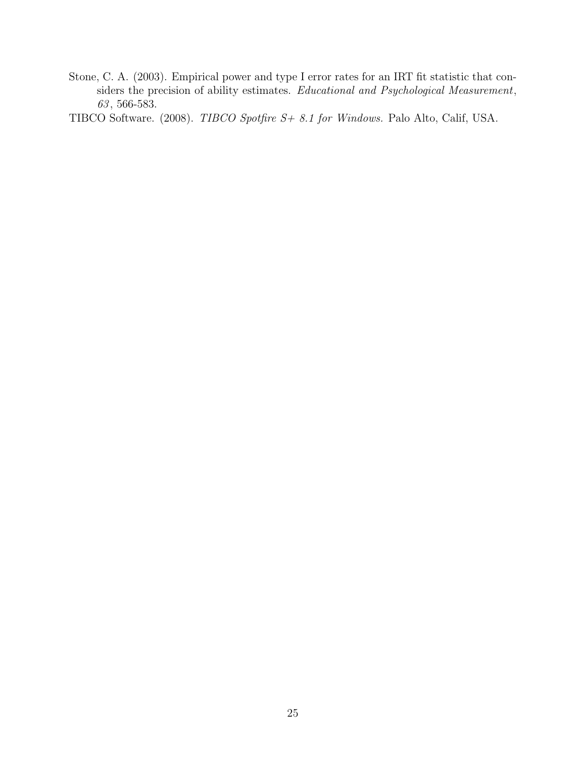Stone, C. A. (2003). Empirical power and type I error rates for an IRT fit statistic that considers the precision of ability estimates. Educational and Psychological Measurement, 63 , 566-583.

TIBCO Software. (2008). TIBCO Spotfire S+ 8.1 for Windows. Palo Alto, Calif, USA.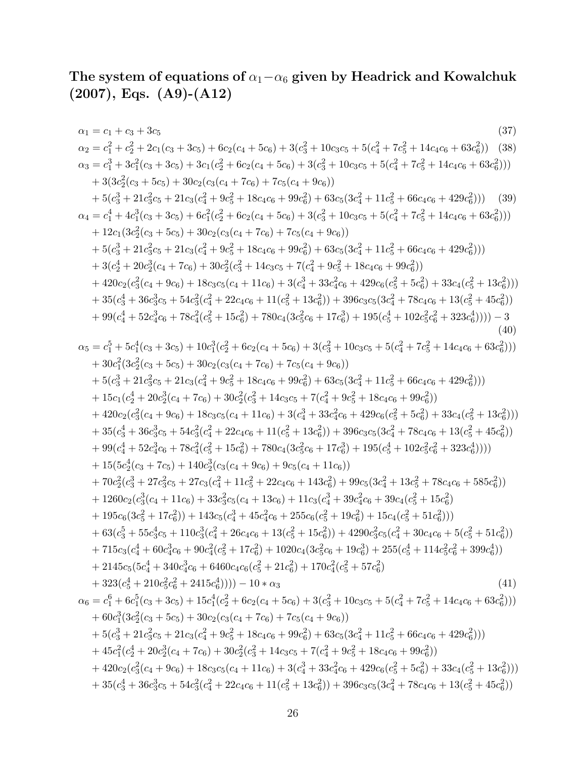## The system of equations of  $\alpha_1−\alpha_6$  given by Headrick and Kowalchuk (2007), Eqs. (A9)-(A12)

$$
\begin{array}{ll} \alpha_1 = c_1 + c_3 + 3c_5 & (37) \\ \alpha_2 = c_1^2 + c_2^2 + 2c_1(c_3 + 3c_5) + 6c_2(c_4 + 5c_6) + 3(c_3^2 + 10c_3c_5 + 5(c_4^2 + 7c_5^2 + 14c_4c_6 + 63c_6^2)) & (38) \\ \alpha_3 = c_1^3 + 3c_4^2(c_3 + 3c_5) + 3c_1(c_2^2 + 6c_2(c_4 + 5c_6) + 3(c_3^2 + 10c_3c_5 + 5(c_4^2 + 7c_5^2 + 14c_4c_6 + 63c_6^2))) & (39) \\ \alpha_4 = c_1^4 + 4c_1^3(c_3 + 5c_5) + 30c_2(c_3(c_4 + 7c_6) + 7c_5(c_4 + 9c_6)) & (39) \\ \alpha_4 = c_1^4 + 4c_1^3(c_3 + 5c_5) + 30c_2(c_3(c_4 + 7c_6) + 7c_5(c_4 + 9c_6)) & (39) \\ \alpha_4 = c_1^4 + 4c_1^3(c_3 + 3c_5) + 30c_2(c_3(c_4 + 7c_6) + 7c_5(c_4 + 9c_6)) & (39) \\ \alpha_5 = c_1^5 + 3c_1^3c_5 + 21c_3(c_1^2 + 9c_5^2 + 18c_4c_6 + 99c_6^2) + 63c_5(3c_4^2 + 11c_5^2 + 66c_4c_6 + 429c_6^2))) & (39) \\ \alpha_5 = c_1^5 + 4c_1^3(c_3 + 5c_5) + 30c_2(c_3(c_4 + 7c_6) + 7c_5(c_4 + 9c_6)) & (39) \\ \alpha_6 = c_1^4 + 4c_1^3(c_3 + 5c_2^2 + 18c_4c_6 + 99c_6^2) + 63c_5(3c_4^2 + 11c_5^2 + 66c_4c_6 + 429c_6^2)) & (39) \\ \alpha_5 = c_1^5 + 5c_1
$$